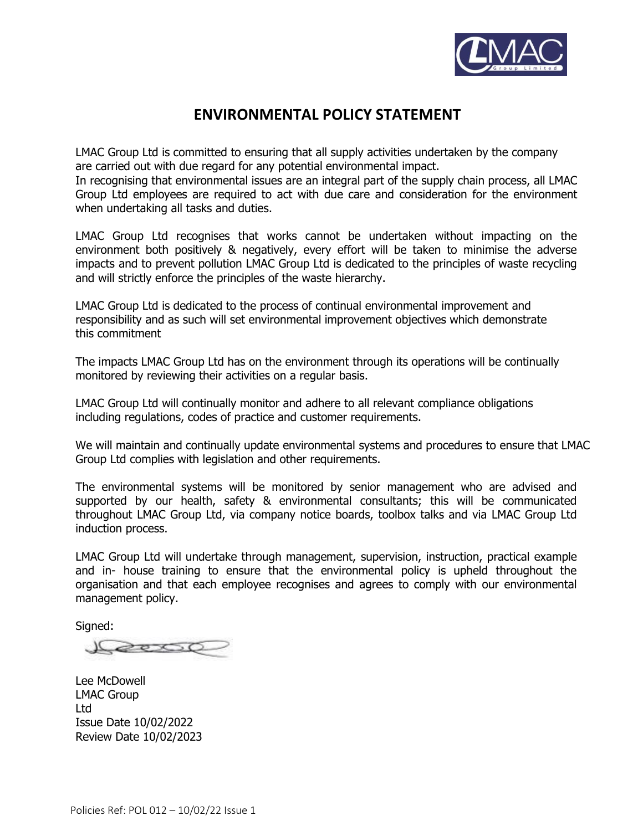

# **ENVIRONMENTAL POLICY STATEMENT**

LMAC Group Ltd is committed to ensuring that all supply activities undertaken by the company are carried out with due regard for any potential environmental impact.

In recognising that environmental issues are an integral part of the supply chain process, all LMAC Group Ltd employees are required to act with due care and consideration for the environment when undertaking all tasks and duties.

LMAC Group Ltd recognises that works cannot be undertaken without impacting on the environment both positively & negatively, every effort will be taken to minimise the adverse impacts and to prevent pollution LMAC Group Ltd is dedicated to the principles of waste recycling and will strictly enforce the principles of the waste hierarchy.

LMAC Group Ltd is dedicated to the process of continual environmental improvement and responsibility and as such will set environmental improvement objectives which demonstrate this commitment

The impacts LMAC Group Ltd has on the environment through its operations will be continually monitored by reviewing their activities on a regular basis.

LMAC Group Ltd will continually monitor and adhere to all relevant compliance obligations including regulations, codes of practice and customer requirements.

We will maintain and continually update environmental systems and procedures to ensure that LMAC Group Ltd complies with legislation and other requirements.

The environmental systems will be monitored by senior management who are advised and supported by our health, safety & environmental consultants; this will be communicated throughout LMAC Group Ltd, via company notice boards, toolbox talks and via LMAC Group Ltd induction process.

LMAC Group Ltd will undertake through management, supervision, instruction, practical example and in- house training to ensure that the environmental policy is upheld throughout the organisation and that each employee recognises and agrees to comply with our environmental management policy.

Signed:

2000

Lee McDowell LMAC Group Ltd Issue Date 10/02/2022 Review Date 10/02/2023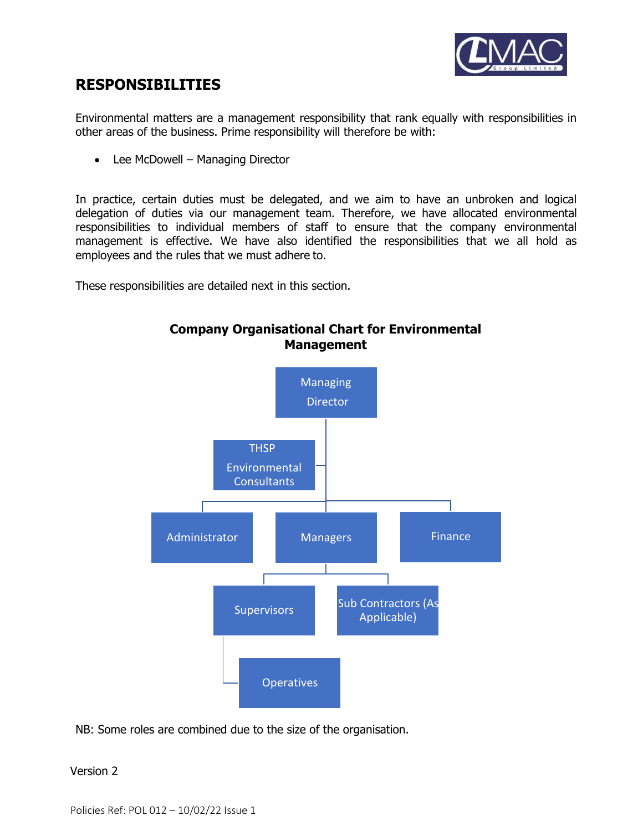

# **RESPONSIBILITIES**

Environmental matters are a management responsibility that rank equally with responsibilities in other areas of the business. Prime responsibility will therefore be with:

• Lee McDowell – Managing Director

In practice, certain duties must be delegated, and we aim to have an unbroken and logical delegation of duties via our management team. Therefore, we have allocated environmental responsibilities to individual members of staff to ensure that the company environmental management is effective. We have also identified the responsibilities that we all hold as employees and the rules that we must adhere to.

These responsibilities are detailed next in this section.



**Company Organisational Chart for Environmental Management**

NB: Some roles are combined due to the size of the organisation.

# Version 2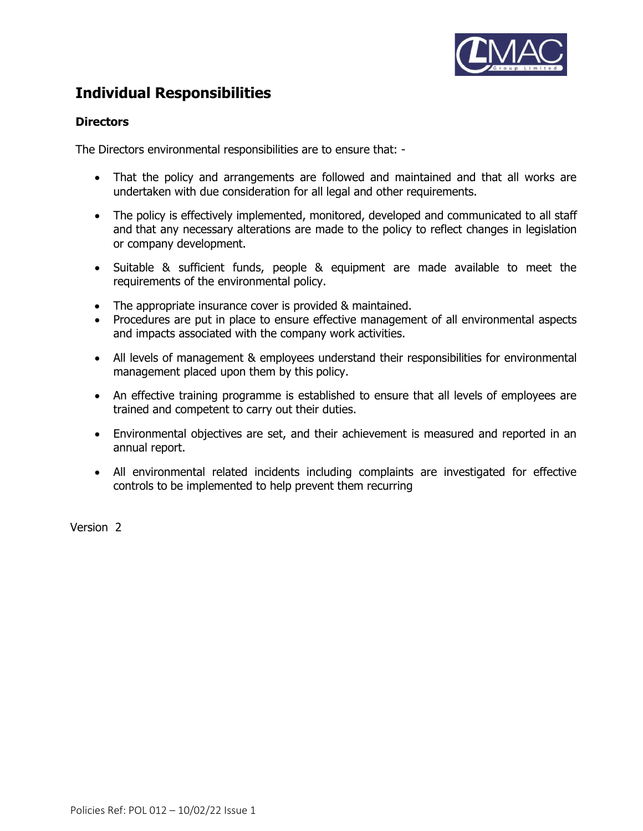

# **Individual Responsibilities**

# **Directors**

The Directors environmental responsibilities are to ensure that: -

- That the policy and arrangements are followed and maintained and that all works are undertaken with due consideration for all legal and other requirements.
- The policy is effectively implemented, monitored, developed and communicated to all staff and that any necessary alterations are made to the policy to reflect changes in legislation or company development.
- Suitable & sufficient funds, people & equipment are made available to meet the requirements of the environmental policy.
- The appropriate insurance cover is provided & maintained.
- Procedures are put in place to ensure effective management of all environmental aspects and impacts associated with the company work activities.
- All levels of management & employees understand their responsibilities for environmental management placed upon them by this policy.
- An effective training programme is established to ensure that all levels of employees are trained and competent to carry out their duties.
- Environmental objectives are set, and their achievement is measured and reported in an annual report.
- All environmental related incidents including complaints are investigated for effective controls to be implemented to help prevent them recurring

Version 2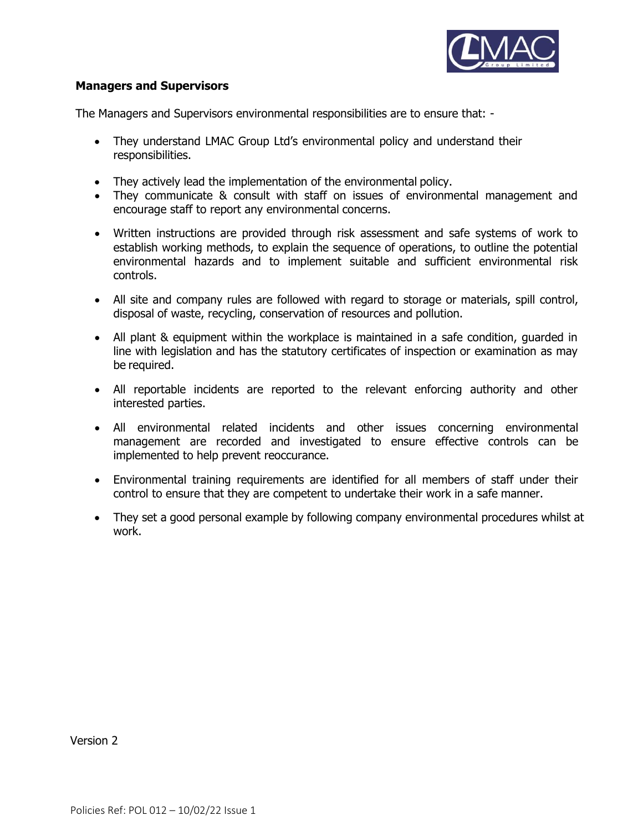

# **Managers and Supervisors**

The Managers and Supervisors environmental responsibilities are to ensure that: -

- They understand LMAC Group Ltd's environmental policy and understand their responsibilities.
- They actively lead the implementation of the environmental policy.
- They communicate & consult with staff on issues of environmental management and encourage staff to report any environmental concerns.
- Written instructions are provided through risk assessment and safe systems of work to establish working methods, to explain the sequence of operations, to outline the potential environmental hazards and to implement suitable and sufficient environmental risk controls.
- All site and company rules are followed with regard to storage or materials, spill control, disposal of waste, recycling, conservation of resources and pollution.
- All plant & equipment within the workplace is maintained in a safe condition, guarded in line with legislation and has the statutory certificates of inspection or examination as may be required.
- All reportable incidents are reported to the relevant enforcing authority and other interested parties.
- All environmental related incidents and other issues concerning environmental management are recorded and investigated to ensure effective controls can be implemented to help prevent reoccurance.
- Environmental training requirements are identified for all members of staff under their control to ensure that they are competent to undertake their work in a safe manner.
- They set a good personal example by following company environmental procedures whilst at work.

Version 2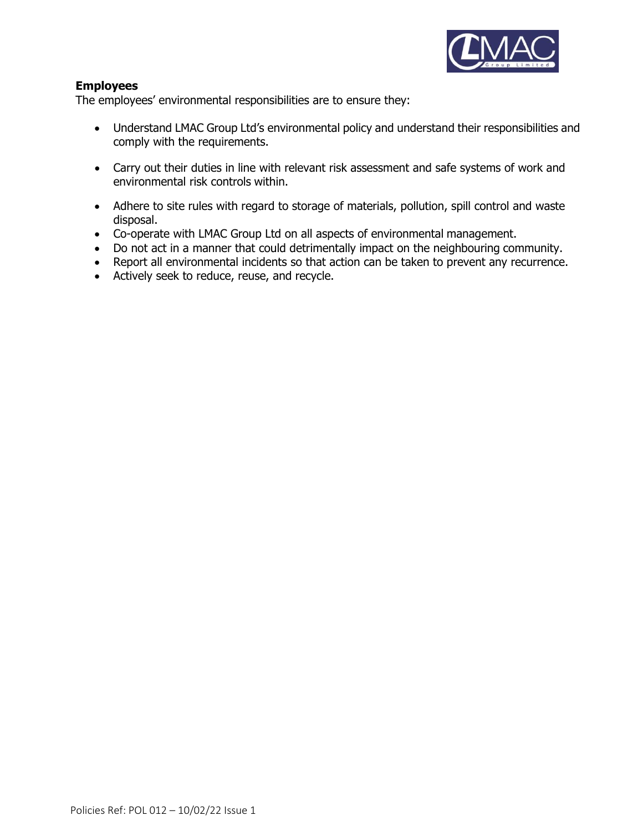

# **Employees**

The employees' environmental responsibilities are to ensure they:

- Understand LMAC Group Ltd's environmental policy and understand their responsibilities and comply with the requirements.
- Carry out their duties in line with relevant risk assessment and safe systems of work and environmental risk controls within.
- Adhere to site rules with regard to storage of materials, pollution, spill control and waste disposal.
- Co-operate with LMAC Group Ltd on all aspects of environmental management.
- Do not act in a manner that could detrimentally impact on the neighbouring community.
- Report all environmental incidents so that action can be taken to prevent any recurrence.
- Actively seek to reduce, reuse, and recycle.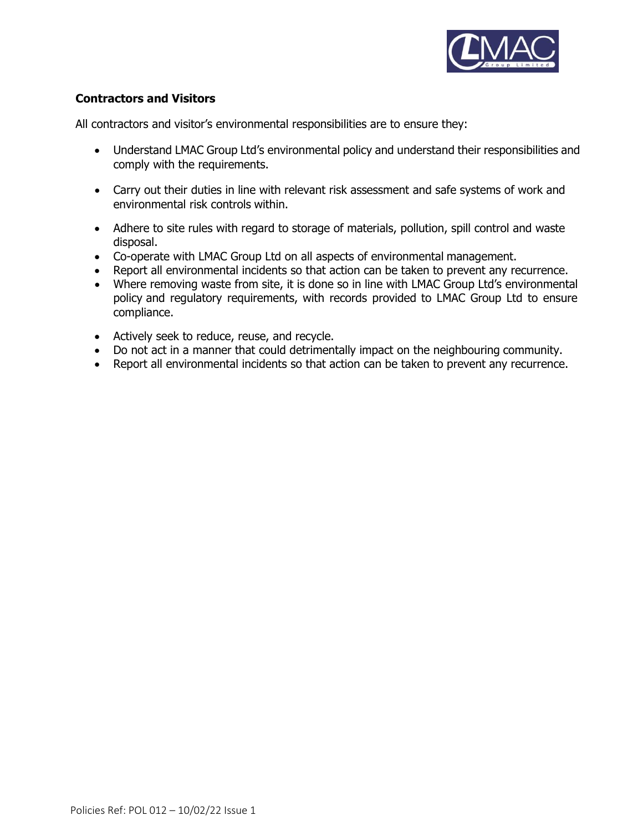

# **Contractors and Visitors**

All contractors and visitor's environmental responsibilities are to ensure they:

- Understand LMAC Group Ltd's environmental policy and understand their responsibilities and comply with the requirements.
- Carry out their duties in line with relevant risk assessment and safe systems of work and environmental risk controls within.
- Adhere to site rules with regard to storage of materials, pollution, spill control and waste disposal.
- Co-operate with LMAC Group Ltd on all aspects of environmental management.
- Report all environmental incidents so that action can be taken to prevent any recurrence.
- Where removing waste from site, it is done so in line with LMAC Group Ltd's environmental policy and regulatory requirements, with records provided to LMAC Group Ltd to ensure compliance.
- Actively seek to reduce, reuse, and recycle.
- Do not act in a manner that could detrimentally impact on the neighbouring community.
- Report all environmental incidents so that action can be taken to prevent any recurrence.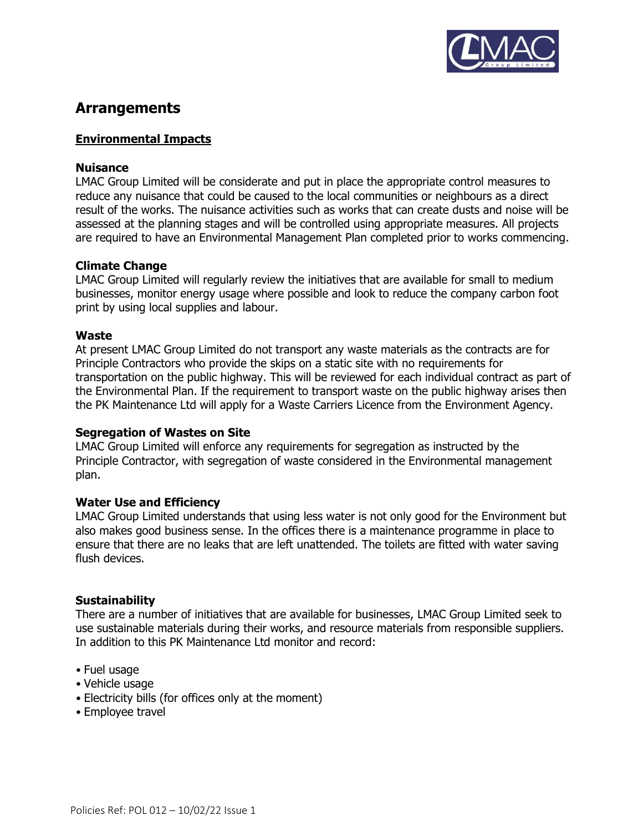

# **Arrangements**

# **Environmental Impacts**

### **Nuisance**

LMAC Group Limited will be considerate and put in place the appropriate control measures to reduce any nuisance that could be caused to the local communities or neighbours as a direct result of the works. The nuisance activities such as works that can create dusts and noise will be assessed at the planning stages and will be controlled using appropriate measures. All projects are required to have an Environmental Management Plan completed prior to works commencing.

#### **Climate Change**

LMAC Group Limited will regularly review the initiatives that are available for small to medium businesses, monitor energy usage where possible and look to reduce the company carbon foot print by using local supplies and labour.

#### **Waste**

At present LMAC Group Limited do not transport any waste materials as the contracts are for Principle Contractors who provide the skips on a static site with no requirements for transportation on the public highway. This will be reviewed for each individual contract as part of the Environmental Plan. If the requirement to transport waste on the public highway arises then the PK Maintenance Ltd will apply for a Waste Carriers Licence from the Environment Agency.

# **Segregation of Wastes on Site**

LMAC Group Limited will enforce any requirements for segregation as instructed by the Principle Contractor, with segregation of waste considered in the Environmental management plan.

# **Water Use and Efficiency**

LMAC Group Limited understands that using less water is not only good for the Environment but also makes good business sense. In the offices there is a maintenance programme in place to ensure that there are no leaks that are left unattended. The toilets are fitted with water saving flush devices.

# **Sustainability**

There are a number of initiatives that are available for businesses, LMAC Group Limited seek to use sustainable materials during their works, and resource materials from responsible suppliers. In addition to this PK Maintenance Ltd monitor and record:

- Fuel usage
- Vehicle usage
- Electricity bills (for offices only at the moment)
- Employee travel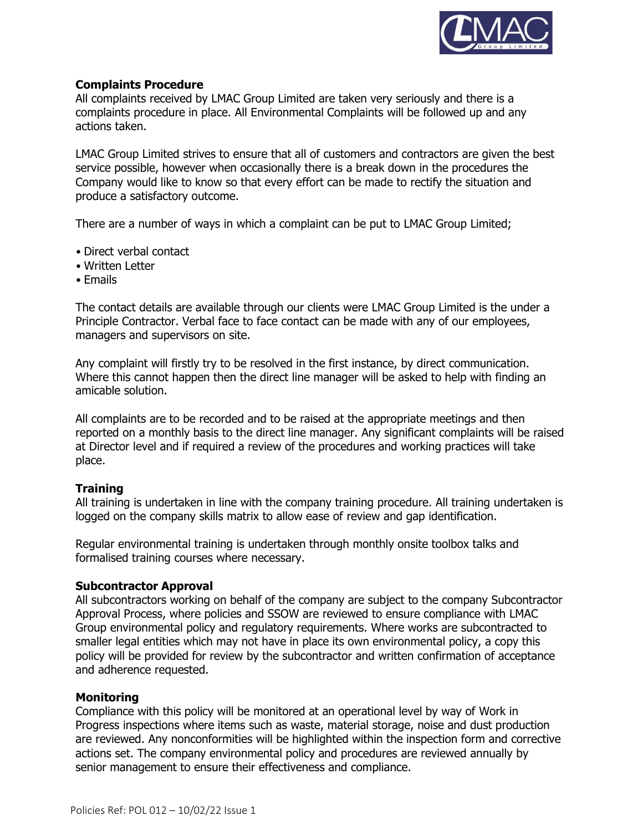

#### **Complaints Procedure**

All complaints received by LMAC Group Limited are taken very seriously and there is a complaints procedure in place. All Environmental Complaints will be followed up and any actions taken.

LMAC Group Limited strives to ensure that all of customers and contractors are given the best service possible, however when occasionally there is a break down in the procedures the Company would like to know so that every effort can be made to rectify the situation and produce a satisfactory outcome.

There are a number of ways in which a complaint can be put to LMAC Group Limited;

- Direct verbal contact
- Written Letter
- Emails

The contact details are available through our clients were LMAC Group Limited is the under a Principle Contractor. Verbal face to face contact can be made with any of our employees, managers and supervisors on site.

Any complaint will firstly try to be resolved in the first instance, by direct communication. Where this cannot happen then the direct line manager will be asked to help with finding an amicable solution.

All complaints are to be recorded and to be raised at the appropriate meetings and then reported on a monthly basis to the direct line manager. Any significant complaints will be raised at Director level and if required a review of the procedures and working practices will take place.

# **Training**

All training is undertaken in line with the company training procedure. All training undertaken is logged on the company skills matrix to allow ease of review and gap identification.

Regular environmental training is undertaken through monthly onsite toolbox talks and formalised training courses where necessary.

# **Subcontractor Approval**

All subcontractors working on behalf of the company are subject to the company Subcontractor Approval Process, where policies and SSOW are reviewed to ensure compliance with LMAC Group environmental policy and regulatory requirements. Where works are subcontracted to smaller legal entities which may not have in place its own environmental policy, a copy this policy will be provided for review by the subcontractor and written confirmation of acceptance and adherence requested.

#### **Monitoring**

Compliance with this policy will be monitored at an operational level by way of Work in Progress inspections where items such as waste, material storage, noise and dust production are reviewed. Any nonconformities will be highlighted within the inspection form and corrective actions set. The company environmental policy and procedures are reviewed annually by senior management to ensure their effectiveness and compliance.